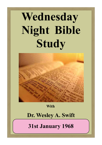# **Wednesday Night Bible Study**



#### **With**

## **Dr. Wesley A. Swift**

**31st January 1968**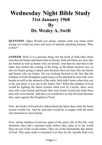## **Wednesday Night Bible Study 31st January 1968 By Dr. Wesley A. Swift**

**QUESTION**: (tape) Would you please explain what you mean when saying we would see more and more of animals attacking humans. Why is this??

**ANSWER**: Well, it is a peculiar thing, but the book of Seth talks about men that are beasts and beasts that are beasts. Seth said there are men who are bestial as well as beasts who are bestial. And then he said that in the latter days before the coming of the King, as the Beast systems rise, so also are beasts going to attack men because there are men who are beasts and beasts who are beasts. He was looking forward to the fact that the children of God's Kingdom could expect to be attacked by men who were bestial as well as the animals of the earth. Seth didn't know when this was to be, just knew it was out in the future. See? When the children of God would be fighting the Beast System ruled over by Lucifer, these were men who were bestial and beasts that were beasts would also help these men who were bestial. And thus you would have to slay the beast because they came against the Kingdom of God.

Now, the books of Enoch also talked about the latter days when the beast system would rise. And he said men would be in league with the beast who themselves were bestial.

Now, all the children of God are spirit of His spirit, life of His life. And therefore, they had a spiritual entity before they came in to the world. They are not of the world (order). They are of the Household, this family of God. This same truth is reiterated over here by the Apostle Paul over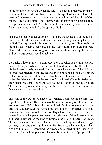#### Wednesday Night Bible Study - 31st January 1968

in the book of Corinthians, when he said: 'We have not received the spirit which is of the world, we have received the spirit which is of God. He then said: 'the natural man has not received the things of the spirit of God, for they are foolish unto Him.' Neither can he know them because they are spiritually discerned. And the natural man is also symbolized as the Beast man because he lacks the spirit of God.

The created man was called Enosh. These are the Chinese. But the Enosh is also translated beast man and this is because of not possessing the spirit of God. Their spirit in the day God created them was good. Thus establishing the Beast system, these created ones were easily confused and were identified with the Beast kingdom. So this question came up that at the end of the age beasts would attack men.

Let's take a look at the situation before WWII when Haile Selassie was head of Ethiopia. Where as he had white blood in him. Still the tribes of his land were largely Negroid. But this was where some of the children of Israel had reigned. You see, the Queen of Sheba had a son by Solomon. But since she was not of the line of Jacob/Isaac, altho she may have been white, the Priests would not let Solomon's son into the Temple. So he sent the Queen away and she went back to one of the areas she ruled over. There were Negroes in that area, but the rulers were these people of the Queens court who were white.

This son of the Queen of Sheba was Manlec I and she made him vice regent over Ethiopia. Thus this son of Solomon was king of Ethiopia , and Solomon sent 1000 Nobles of Israel and their families to make a court for this son, and then Manlec married into this line of High Israel. His seed then married back into this line of High Israel and for six or seven generations this happened so these who ruled over Ethiopia were white and Israel They named the king of Ethiopia the Lion of the tribe of Judah. This continued on until one of the relatives of the king started a vast orgy of integration, and the king line later then began to take on colour. Then a son of Manlec III recaptured the throne and cleared up the lineage. In the days of Jesus Ethiopia was ruled over by a white line of people. They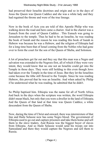had preserved their Israelite doctrines and origin and so in the days of Jesus the Queen was Queen Caddice and she was a white lady and they had regained the throne and were of the true lineage.

Now in the book of Acts you are told of this Apostle Philip who was walking down the road and here came a chariot. And in the chariot was a Eunuch from the court of Queen Caddice . This Eunuch was going to Jerusalem to the temple. Thus he had to be an Israelite, he was reading the book of Isaiah and the reason he was reading this book of Isaiah in Hebrew was because he was a Hebrew, and the religion of Ethiopia had for a long time been that of Israel coming from the Nobles who had gone over to form the court for the son of the Queen of Sheba, and Solomon.

A lot of preachers get far out and they say that this man was a Negro and salvation was extended to the Negroes first, all of which if they were very intent, they would know that no one not an Israelite could get into the Temple in those days. They were still holding to this even though Jews had taken over the Temple in the time of Jesus. But they let the Israelites come because the tithe still flowed to the Temple. Since he was reading Hebrew, this proved that he was an Israelite. And when asked by Philip if he understood what he was reading, he admitted that he didn't.

So Philip baptised him. Ethiopia was the name for all of North Africa. And back in the days when the scripture was written, the word Ethiopia didn't mean black, but only that you were a dweller in the land of Ethiopia. And the Queen of that land at that time was Queen Caddice, a white descendent from the Queen of Sheba.

Now, during the time of Christ and onward, there was intermixture of that line and Haile Selassie now has some Negro blood. The government of Ethiopia used to go out and capture prisoners and take them home and sell them to the slave traders. And Russia was the biggest buyer of slaves from Ethiopia. And so Haile Selassie would send his troops out into Samoaland and there they would capture the Negroes and sell them to Russia.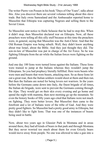The writer Pierre von Possen in his book "Days of Our Years", talks about this. Also you discover there are several volumes telling about this slave trade. But Italy owns Samoaland and the Ambassador reported home to Mussolini that Ethiopia was capturing Negroes and selling them to the Soviet Union.

So Mussolini sent notice to Haile Selassie that he had to stop this. When it didn't stop, then Mussolini declared war on Ethiopia. Now, all these preachers were telling all this silly stuff because at this time the preachers were, in general, saying that Mussolini was the Anti-Christ. And that the Old Roman Empire was being rebuilt. Well, they didn't know anything about true Israel, about the Bible. And they just thought they did. The son-in-law of Mussolini was put in charge of the Air Force. So he was fighting Ethiopia from the air while the Italian forces were fighting on the ground.

And one day 100 lions were turned loose against the Italians. These lions were trained to jump at the Italians whereas they wouldn't jump the Ethiopians. So you had prophecy literally fulfilled. Here were beasts who were men and beasts that were beasts, attacking men. So as these lions let out a great roar, then the Italian soldiers would shoot at them and then run. But then the Italians are noted for being lovers not warriors. In the years before the Germans came down into Italy, the finest brigade of all times, the Italian ski brigade, were sent to prevent the Germans coming through the Alps. They would get on their skis every evening and go home and spend the night with mamma, then next morning go up the mountain. So even the history books of fifty years ago cited that Italians were not much on fighting. They were better lovers. But Mussolini then came to the forefront and a lot of Italians were of the tribe of Gad. And they were pretty good fighters. So Mussolini had a pretty good army in Ethiopia, but they didn't like to fight lions. That was one of the instances of beasts being used in battle.

Now, about two years ago in Glassier Park in Montana and in areas around there, they had all kinds of bears in that park and through Montana. But they never worried too much about them for even Grizzly bears would move away from people. No one was allowed to take a gun into a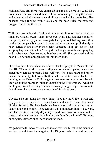National Park. But there were camps along streams where you could fish. So a man and a woman and their children were camped along the stream and a bear attacked the woman and bit and scratched her pretty bad. Her husband came running with a stick and the bear killed the man and dragged him off in the bush.

Well, this was unheard of although you would hear of people killed at times by Grizzly bears. Then about two years ago, another condition transpired, as two guys and two girls had gone out fishing. And they worked in the park but they had gone further out to camp. Suddenly, a bear started to knock over their gear. Someone said; 'get out of your sleeping bags and into a tree.' One girl tried to get out of her sleeping bag and the bear was there trying to bite her arm off. She screamed and the bear killed her and dragged her off into the woods.

There has been times when bears have attacked people in Yosemite and Red Bluff Parks. And last year in all places of National parks, bears were attacking where as normally bears will run. The black bears and brown bears can be nasty, but normally they will run. After I came back from hunting up on Shasta, a Volkswagen turned over trying to miss a bear in the road and the bear then killed the people in the Volkswagen. I was bear hunting up around Berning. But never saw anything strange. But we note that all over the country, we get reports of ferocious bears.

Coyotes also are doing the same thing. They are much like a wolf and fifty years ago, if they were in bands they would attack a man. They never did this for years. But here lately, we have reports of coyotes up around Tahoe, attacking people. They tell you that a mountain lion is a coward, but that isn't true. In early days they would drop down on a man out of trees. And you always carried a hunting knife to throw him off. But now, once again, they are once more attacking man.

We go back to the book of Seth, and it says that Lucifer takes the men who are beasts and turns them against the Kingdom which would descend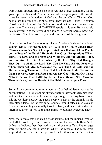from Adam through him. So he believed that a great Kingdom, would grow up from his seed. And at the end of the age a great battle would come between the Kingdom of God and the anti-Christ. The anti-God people are the same as scripture says. They are anti-Christ. Of course, Christ is a Greek word. And Seth never used that because this was way back there. These were Anti-YAHWEH people in his eyes. But we would take his writings as there would be a rampage between normal beast and the beasts of the field. And they would come against the Kingdom.

Now, in the book of Deuteronomy, chapter 7, where God speaks of Israel calling them a Holy people unto YAHWEH their God. '**Yahweh Hath Chosen You to Be a Special People Unto Himself above All the People on the Face of the Earth.' He Said: 'The Great Temptations Which Thine Eye Saw; and the Signs and Wonders, and the Mighty Hand, and the Stretched Out Arm Whereby the Lord Thy God Brought Thee Out, so Shall the Lord Thy God Do Unto All the People of Whom Thou Art Afraid. Moreover the Lord Thy God Will Send the Hornet among Them until They That Are Left and Hide Themselves from Thee Be Destroyed. And Yahweh Thy God Will Put Out These Nations before Thee Little by Little. Thou Mayest Not Consume Them at Once, Lest the Beasts of the Field Increase upon Thee**.'

So until they became more in number, as God helped Israel put out the pagan nations, He let Israel get stronger before they took each new land and thus the animals never became strong enough to destroy Israel. So he said he wouldn't destroy the pagan people to fast or the animals would then attack Israel. So at that time, animals would attack men even in Palestine. When they eventually took that land, and then scattered out in migration, always it was so that the animals would not overcome Israel.

Now, the buffalo was not such a great scourge, but the Indians lived on the buffalo. And they could travel all over and live on the buffalo. So to defeat the Indians, then they had to get rid of the buffalo. The savages were out there and the hunters killed off the buffalo. The hides were shipped all over. Even to Europe. We killed millions of buffalo. But as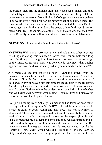the buffalo died off, the Indians didn't have such ready meals and they couldn't fight as well. But as the Indians thinned out, the great bears became more numerous. From 1918 to 1920 huge bears were everywhere. They would give a man a run for his money when they hunted them. But it was mostly for their own protection that they hunted the bears. But this shows again that in the latter days, the beasts of the field would turn on men (Adamites). Of course, one of the signs of the age was that the beasts of the Beast System as well as natural beasts would turn on Adam man.

**QUESTION:** How does the thought reach the animal beasts?

**ANSWER:** Well, don't worry about what animals think. When it comes to killing and eating, this has been a normal thing for animals for a long time. But if they are now getting ferocious against man, that is just a sign of the times. As far as Lucifer was concerned, remember, that Lucifer approached Eve. And symbolically, what type of a body did he have???

A Serpent was the emblem of his body. Hydra the serpent from the heavens. But when he seduced Eve, he had the form of a man. And all the kingdom of Lucifer from him on down, they all wore the great tunics of gold and silver with woven into this garment the emblem of the fig leaves. And the fig leaves are still a part of Buddhism and Gotmaism today in Asia. So when God came into the garden, Adam was hiding in the bushes. And God said: 'Adam, why are you hiding.' Adam said: 'Well I discovered I was naked, so I had to put clothes on.

So I put on the fig leaf.' Actually this meant he had taken or been taken over by the Luciferian system. So YAHWEH killed the animals and made a coat of skins to cover Adam and also Eve. This was a symbol of atonement. This situation is a marked pattern of the enmity between the seed of the woman (Adamites) and the seed of the serpent (Luciferians). These serpent people had legs and arms and they walked upright and so forth. And in the symbolism, Lucifer used the symbol of the serpent. But he was as a man in the great tunic and on his head was a cap a lot like the Pontiff of Rome wears which was also like that of Mystery Babylon. Only Lucifer's cap came up to a great peak and the head of the Cobra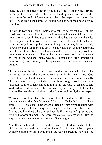made the top of the mantel for the clothes he wore. In other words, Hydra the Serpent was one of the emblems like the dragon and so forth. And it tells you in the book of Revelation that he is the serpent, the dragon, the devil. These are all the names of Lucifer because he turned people away from God.

The words Devious, Satan, Shaton-who refused to reflect the light, are words associated with Lucifer. So on Lemuria and in ancient Asia, at one time he ruled over all that area as well. And he had garments with scales like a serpent. And he wore over his head, the great mantel of the Cobra with rings of gold on top that came up to a point. In fact, the ancient city of Angkor, Puok-Angkor, that Mrs. Kennedy had to go visit in Cambodia, ( and this visit probably cost us thousands of boys lives, for they wouldn't bomb the communications lines while she was there) And for two weeks she was there. And the enemy was able to bring in reinforcements for their forces.) But this city of Temples was woven with serpents and dragons.

This was one of the ancient citadels of Lucifer. So again, when they refer to him as a serpent, this meant he was attired in this manner. But God cursed the serpent and henceforth the serpent was to craw upon its belly. This was symbolically. But then serpents no longer would have legs although the area of legs can be found in all serpents. All snakes of any kind had to crawl on their bellies because they are the symbol of Lucifer. But Lucifer was also symbolized as the Dragon and the Hydra the serpent.

We want to point out that Lilith, who fell with Lucifer, was the consort. And there were other female angels. Like (Chalandra), Tamatraze), (Doseleze). These were all female Angels who rebelled with Lucifer along with the many male angels. He had been the Exalted Cherub and like these others never kept his first estate and appeared and took on the form of a man. Therefore, there are all patterns with Lilith the serpent woman, known as the mother of the Ganges.

After the seduction of Eve by Lucifer, then Eve introduced Adam to this violation of law, and the sexual orgies of Lucifer. And Adam begat a child or children by Lilith. And this is the way she became known as the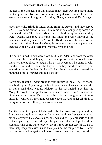mother of the Ganges. For this lineage made their dwelling place along the Ganges river. Kali is also the assassin goddess of India. In fact the assassins were a cult; a group. And they all ate, it was said, Kali's sugar.

Now, the white Hindu in India, came from the Aryans and they served YAH. They came out of Persia. They came in as a conquering force and conquered India. Then later, Abraham had children by Ketura and they were Aryans. And they also came into India and were known as the Brahmans and they served YAHWEH. Hindustan was the name of the country at that time. Then the Mongols came in again and conquered and then the worship was of Brahma, Vishnu, Siva and Kali.

The dark skinned Hindu were from Lilith and Adam and from the other dark forces there. And they go back even to pre-Adamic periods because India was mongrelised to begin with by the Negroes who came in with Lucifer. The land of India, the Bay of Bombay, used to have a great extension before the land broke off. And the Ganges river flowed for hundreds of miles further that it does today.

So we note that the Aryans brought great culture to India. The Taj Mahal was built by an Aryan king for his Aryan queen. That was a beautiful structure. And there was no idolatry in the Taj Mahal. But then the Mongols swept in and pretty well dominated India. The Alexander the Great came into India. But he went back before bringing all of India under his control. So the Mongols came back in. And under all kinds of mongrelisation and all religions, were vicious.

And the present temples of Kali marked by the assassins is quite a thing. But then no one knows how an Indian native thinks because he is not rational anyhow. He serves his pagan gods and will pay all sorts of tithe to these pagan gods even though the pagan goddess will protect these assassins who come out to prey on them if they are not careful. So all of them help keep the assassins as they pay into the temple of Kali. Great Britain passed a low against all these assassins. And the army moved out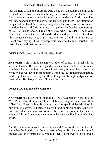into the field to stop the assassins. And while Britain held that colony, she reduced the assassins down to a little group who hid back in the hills and India became somewhat safe for civilization under the British mandate. We understand that now the assassins are back and there is no attempt on the part of the Hindu's to do anything about the assassins in this present situation. Nehru didn't do anything to stop them. In fact, he wore the sign of Kali on his forehead. I remember how when President Eisenhower went over to India, they wined and dined him and put the mark of Kali on him because Nehru was, I am sure, a Priest of Kali. But instead of Eisenhower saying: 'I can't accept this because I am a Christian, he instead accepted that caste mark.

**QUESTION**: Well, how will this effect Ike???

**ANSWER:** Well, if he is an Israelite, then of course all Israel will be saved in the end. But he isn't a good one because he did take Kali's mark. But then a lot of Israelites have gone into idolatry at times then came back. While Moses was up on the mountain getting the law, remember, that they made a golden calf. So they did these things and brought judgement on themselves. But largely they still knew the truth.

#### **QUESTION: Is Ike a Swedish Jew?**

**ANSWER**: No, I don't think that at all. They have pages in the book at West Point. And they put all kinds of funny things in there. And they called Ike a Swedish Jew. But there is not one speck of Jewish blood in him or his relatives. But there is Negro blood in his blood line. And it is not more than six generations back because his grandmother was a Mulatto. Lizzie Stover was a Mulatto in the state she lived in. She looked white.

And the man who married Lizzie Stover didn't know she was not white. And when he found it out, he was very unhappy. But because his grandmother was an offspring of a Mulatto, then Eisenhower told his grand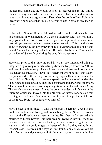mother that some day he would destroy all segregation in the United States. So way back when a boy, he promised that he would someday have a part in ending segregation. Then when he got into West Point this idea wasn't popular at that time, so he was as anti-Negro as any man in the service.

In fact when General Douglas McArthur had Ike as his aid, when he was in command in Washington, D.C., then McArthur said: 'Ike was not a very good soldier, so he would never give him a promotion because he just said yes to everybody no matter who he was with.' This is in the book about McArthur. Eisenhower never liked McArthur and didn't like it that he didn't consider him a good soldier. But when Ike became Commander of the United States force during the war, this proved true.

However, prior to this time, he said it was a very impractical thing to integrate Negro troops and white troops because Negro troops don't think and react like white troops. He said that they are slower to think and this is a dangerous situation. I have Ike's statement where he says that Negro troops jeopardize the strength of an army especially a white army, for they think differently, act different speeds, and don't stand under fire. They run to the background. They are best used in transport and other jobs. That he would always oppose any integration in the United States Army. This was his own statement. But as the country under the influence of the Supreme Court, etc, moved into the program of integration, he said that to integrate the United States would end forever, this problem of fusion of the races. So he just contradicted himself.

Now, I have a book titled "I Was Eisenhower's Secretary". And in this book, she tells about Ike's grandmother being Lizzie Stover. However most of the Eisenhower's were all white. But they had absorbed this marriage to Lizzie Stover. But there was not Swedish Jew in Eisenhower's line. They just used this as a banter, because he was so tight fisted in a trade. And they couldn't get the better of him. So they called him a Swedish Jew. That was in the days at West Point. You could say, you are a 'kike' or a Jew and get away with it. But now they have taken in the Jew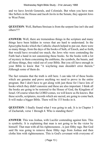and we have Jewish Generals, and Colonials. But when you have men like Sellers in the House and Jacob Javits in the Senate, they appoint Jews to West Point.

**QUESTION:** Well, Barbara Streisan is from the serpent line isn't she and others???

**ANSWER:** Well, there are tremendous things in the scripture and many things have been hidden in verses that are hard to understand. In the Apocrypha books which the Catholic church helped to put out, there were so many things, from the days of the books of Seth, of Enoch, and so forth, that would have revealed too much, the Jews who were contending the Faith had a hand in not canonizing these books. So the books with a lot of mystery in them concerning the emblems, the symbols, the beasts, and all these things, they ruled out of your Bible. But you sill have enough in your Bible to know that "A wayfaring man shouldn't error therein." Although some of them do.

The fact remains that the truth is still here. I can take 64 of these books which are genuine and prove anything we need to prove in the entire program. But I don't have to get along with just those for I have lots of books which they didn't canonize and these are also important. I think all the books are going to be restored to the House of God, the Kingdom of Israel. Of course when the LORD comes, we will know as He knows. But these scrolls, scriptures, records which are sacred, are going to come back. It will make a bigger Bible. There will be 153 books in it.

**QUESTION:** I finally found what I was going to ask. It is in Chapter 3 of Zachariah, verse 1 through 4. Who is standing there?

**ANSWER**: This was Joshua, with Lucifer contending against him. This is symbolic. It is explaining that man is not going to be the victor by himself. That man with all his righteousness , is just filthy rags. But God said He was going to remove these filthy rags from Joshua and then clothe him with righteousness. This is God's covenant with everyone of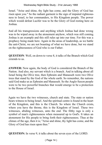Israel. "Arise and shine, thy light has come, and the Glory of God has risen upon you." So the radiant garment is the sign of imputed righteousness to Israel, to her commanders, to His Kingdom people. The power which would defeat Lucifer was to be the Glory of God resting here on Joshua.

And all his transgressions and anything which Joshua had done wrong was to be wiped away in the atonement anyhow, which was still coming. Joshua is an example and this still rules up into our time. For this was a prophecy being made here. Again in the areas of leadership, as we battle the anti-Christ, we are not boasting of what we have done, but we stand on the righteousness of God who is our Father.

**QUESTION**: Well, on down to verse 8, it talks of the Branch which God extends to us.

**ANSWER:** Now again, the body of God is considered the Branch of the Nation. And also, my servant which is a branch. And in talking about all Israel being the Olive tree, then Ephraim and Manasseh were two Olive trees that stand by the God of the whole earth. So remember, the nations said God make us as Ephraim and Manasseh. So the Anglo-Saxon people were to be two powerful branches that would emerge to be a protection to the House of Israel.

Again we have the two witnesses, church and state. The state or nation bears witness to being Israel. And the spiritual centre is found in the heart of the Kingdom, and this is the Church. So where the Church exists, where you have the throne, this is the Kingdom of Israel. These two witnesses, abiding witnesses, unto the end. The filthy rags is only a symbol of man's righteousness when measured up to God's. It takes an atonement for His people to bring forth their righteousness. Thus at the climax of the age, then it is; "Arise and shine, thy light has come, and the Glory of God has risen upon thee."

**QUESTION:** In verse 9, it talks about the seven eyes of the LORD.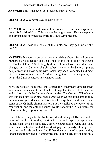#### Wednesday Night Bible Study - 31st January 1968

**ANSWER:** This is the seven-fold (perfect) spirit of God.

**QUESTION:** Why seven eyes in particular??

**ANSWER**: Well, it would take an hour to answer. But this is again the seven-fold spirit of God. This is again the magic seven. This is the plains and dimensions in which the spirit of God is Omnipresent.

**QUESTION**: Those lost books of the Bible, are they genuine or pho**ney???**

**ANSWER:** It depends on what you are talking about. Sears Roebuck published a book called "The Lost Books of the Bible" and "The Forgotten Books of Eden." Well, largely these volumes have been edited and changed by the Catholic church. When they canonized the scriptures, people were still showing up with books they hadn't canonized and most of these books were inspired. Most have a right to be in the scriptures, but not as the Catholic church has changed them.

Now, the book of Nicodemus, this Gospel of Nicodemus is almost perfect as it was written, except for a few little things like the wood of the cross and so forth, which the Catholic church added. The Gospel of Nicodemus was put back into its original shape. And when Oxford translated it, they put it in its original shape except for a few little spots where they still have some of the Catholic church version. But it established the power of the resurrection, and the Catholic church would not admit it in its present, for it has no limbo, no purgatory, no hell.

It has Christ going into the Netherworld and taking all His sons out of there; taking them into glory. It sites that He took captivity captive and led His many sons on high. The Catholic church doesn't want this. They want them in limbo. And if they don't pay out quickly, they go into purgatory and slide on down. And if they don't get out of purgatory, they land in perdition which is flaming fires and so forth. But if you don't have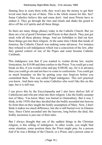flaming fires to scare them with, they won't pay the money to get their loved ones back up out of there. This is the whole reason for this. See? Some Catholics believe this and some don't. And most Priests have to endure it. They go through the rites and rituals and shake the gourd to drive off the evil spirits and all these things.

So there are many things phoney today in the Catholic Church. But yet there are a lot of good Christians and Priests in that church. They just got stuck with all these phoney things. And are forbidden to find out how these things got into their religion. At the same time I think that inside of America, the Catholic Church was making some advances. For instance, they refused to sell indulgences which was a concoction of the Jew, after they gained control of one of the Popes and some became Catholic Cardinals.

This indulgence was that if you wanted to violate divine law, maybe fornication, for \$10.00 and then confess to the Priest. You could get a real break on this, if you would come and pay \$100.00, say, for it in advance, then you could go sin and not have to come to confessions. You could get so much boundary on this by getting your sins forgiven before you committed them. This was called Papal indulgence. This isn't practical you know. And there may be some Catholics who won't like this on this tape, but it is still true.

I can prove this by the Encyclopaedia and I also have shelves full of Catholicism and who put what into their religion. Like the bodily assumption of Mary. You know Mary was buried in Glastonbury. But it was, I think, in the 1930's that they decided that she bodily ascended into heaven. So from then on they taught the bodily assumption of Mary. Now, I don't think it makes too much difference, but she is still buried over in Glastonbury. Since Christ ascended into the heavens, long before she died, this bodily ascension is just one of their tales.

But I always thought that one of the saddest things in the Christian religion, is this selling of indulgence. In other words, you might find some situation, some position there the Priest might pray for a person. And if he was a Bishop of the Church, or a Priest, and a person came to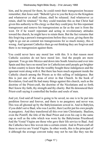him, and he prayed for them, he could remit their transgression because remember, that Jesus said: "Behold I give to you the Keys to the Kingdom and whatsoever ye shall release, shall be released. And whatsoever ye retain, shall be retained." So they could translate this as that Christ had given this authority to His clergy so that they could pray for this repentant transgressor and remove his transgressions as far as the east is from the west. Or if he wasn't repentant and acting in revolutionary attitudes toward the church, he might have to retain them. But the fact remains that this forgiving a person's transgressions before they occur, giving them the right to go out an commit ten transgressions for so much money, this is wrong. And ignorant Catholics then go out thinking they are forgiven and there is no transgression against them.

You could never have any moral law with this. It is that reason most Catholic societies do not have moral law. And the people are more ignorant. You go into Mexico and down into South America and over into Spain and they have no moral law in Catholicism until people got brighter in that country to know that the wealthy bought these indulgences and the ignorant went along with it. But there has been much argument inside the Catholic church among the Priests as to this selling of indulgence. But this is just one of the areas of error in that Church. In the book of Revelation, God said He had many things against this church, such as the doctrine of the Priest-craft, the doctrine of the Nicolatians and so forth. But I know thy faith, thy strength and thy charity. But He denounced their Priest-craft saying it controlled the bodies and souls of men.

And yet, God said all Israel is going to be saved, no one is to be put into perdition forever and forever, and there is no purgatory and never was. This was all ghosted up by the Babylonianism sowed in. And in Babylon, if you didn't serve Baal, who was Lucifer, then Lucifer put his own people in purgatory. And they transferred all this over into Christianity. Baalism, even the Pontiff, the title of the Baal Priest and even his cap is the same cap as well as the robe which was worn by the Babylonian Priesthood. And the Vestal Virgins are those who gave their life service to Baal. And the Catholics have this woven into a certain extent. And in Priest-craft all these in service are Vestal Virgins. In other words, this is the principal of it although the average convent today may not be run like they run the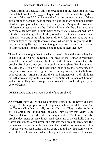Vestal Virgins of Baal. Still this is the beginning of the idea of this service. I don't believe that Mr. (Koloque) who wrote a fantastic garbled version of this. And I don't believe the doctrine put out by most of these anti-Catholics because most of them put out the most obnoxious stories of what is going on which is not necessarily true. Many of the Protestant ministers are just as evil as the Catholic Priests. On the other hand, this goes the other way also. I think many of the 'Sisters' were conned into a life which is neither good nor healthy or natural. But they do service. And their charity is one of the things they are known for. I think today we have a hateful type of ministry that wrote books which are entirely morbid. But they are sold by Evangelists who thought they saw the anti-Christ set up in Rome and the Roman Empire being rebuilt in their theology.

These futurists thought that Rome had to be rebuilt and therefore they had to have an anti-Christ in Rome. The head of the Roman government would be the anti-Christ and the head of the Roman Church the false prophet. But I can show you these books on my selves. But they are not basically true. Hislop's "True Babylon", does show the transference of Babylonianism into the religion. But I can say today, that Catholicism believes in the Virgin Birth and the Blood Atonement. And this is far more that we can say for the majority of the National Council of Churches and so forth. They have dropped even lower than this for they deny the deity of Christ.

**QUESTION**: Who then would be the false prophet???

**ANSWER:** Very easily, the false prophet comes out of Jewry and this design. The false prophet is in al religions which are anti-Christian. And the Catholic Church is basically not anti-Christian. They do identify Jesus as The Christ, the Embodiment of God. They do say that Mary is the Mother of God. They do fulfil the magnificat of Matthew. The false prophet does none of these things. And Jesus said of the Catholic Church, 'I have some things against you' and this was their area of Priestcraft. But the woman who rides on the Beast and the Beast sits on seven hills, this is in Revelation. And some writers come out and say that Rome sits on seven hills. But this is not what is being talked about because Jesus said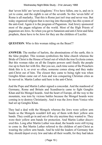that 'seven hills' are 'seven kingdoms.' Five have fallen, one is, and on is yet to come, and the eighth is out of the seventh. So this 'seven hills' of Rome is all marlarky. That this is Rome just isn't true and never was. But today organized religion that is moving into theosophy has this system of the anti-God. Again it is the program of Paganism. And Jewry sponsored most of the pagan religions of the world. Most of the High Priests of paganism are Jews. So when you get to Satanism and anti-Christ and false prophets, these have to be Jews for they are the children of Lucifer.

**QUESTION:** Who is this woman riding on the Beast??

**ANSWER:** The mother of harlots, the abominations of the earth, this is the false prophet. This woman symbolizes the false church whereas the Bride of Christ is the House of Israel out of which the true Ecclesia comes. But this woman rides on all the Empire powers until finally the people rise up to burn her with fire. But you see, each time some of the Preachers think this is it, so ever so often, someone comes along and they make anti-Christ out of him. The closest they came to being right was when Genghis Khan came out of Asia and was conquering Christian cities as he moved in. Martin Luther said here is the anti-Christ.

And the Pope and Martin Luther signed a concordat. And the manhood of Germany, Rome and Britain and Scandinavia came to fight Genghis Khan and his Mongol hoards. And the heart of Europe, all the way to the mountain, was torn by vicious battles because the Mongol hoards were coming in to destroy Christianity. And it was the Jews from Venice who had set up Genghis Khan.

They had a deal with the Mongols whereas the Jews wore yellow arm bands so the Mongols wouldn't kill any of them with their yellow arm bands. They could go in and out of the city anytime they wanted to. They wore their yellow arm bands for protection. And Martin Luther discovered this. Long after Martin Luther was dead, the hoards were still trying to come in. But Martin Luther referred to the children of anti-Christ as wearing the yellow arm bands. And he told the leaders of Germany that they should deport every Jew and take all their wealth, for they had taken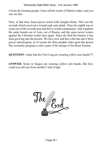#### Wednesday Night Bible Study - 31st January 1968

it from the German people. I have all the works of Martin Luther, and you can see this.

Now, at that time, beast power rested with Genghis Khan. This was the seventh which received a wound nigh unto death. Then the eighth was to come out of the seventh area and this is world communism. And it gathers the same hoards out of Asia, out of Russia, and the same power comes against the Christian world once again. Since the Red Revolution it has been growing into the picture. We have now and this is the last anti-Christ power and program, so of course the false prophet rides upon this power. The economic program is also a part of the design of the Beast System.

**QUESTION**: I hear that the Viet Cong are wearing yellow arm bands???

**ANSWER:** Some in Saigon are wearing yellow arm bands. But how could you tell one from another? end of tape

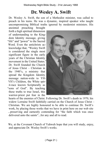## **Dr. Wesley A. Swift**

Dr. Wesley A. Swift, the son of a Methodist minister, was called to preach in his teens. He was a dynamic, inspired speaker who taught uncompromising Biblical truths ignored by modernist ministers. His

anointed preaching brought forth a high spiritual dimension of understanding to the Kingdom Identity message, giving "life" and "power" to the Sacred Word. Even the antichrists acknowledge that, "Wesley Swift is considered the single most significant figure in the early years of the Christian Identity movement in the United States." Dr. Swift founded the Church of Jesus Christ – Christian in the 1940's, a ministry that spread the Kingdom Identity message nation-wide to YH-VH's Children, the White spirit-race known Scripturally as "sons of God". By teaching these truths to true Israel, this warrior-priest put fear in the



hearts of the enemies of Christ. Following Dr. Swift's death in 1970, his widow Lorraine Swift faithfully carried on the Church of Jesus Christ – Christian. We are highly honoured to be able to continue Dr. Swift's work, by placing those works that we have in print here on our web site ...preserving and earnestly contending for "the faith which was once delivered unto the saints"...for any and all to read.

We, at the Covenant Church of Yahweh hope that you will study, enjoy, and appreciate Dr. Wesley Swift's works.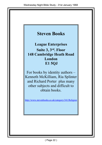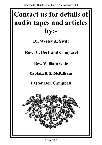# **Contact us for details of audio tapes and articles by:-**

**Dr. Wesley A. Swift**

 **Rev. Dr. Bertrand Comparet**

**Rev. William Gale**

**Captain K. R. McKilliam**

**Pastor Don Campbell**